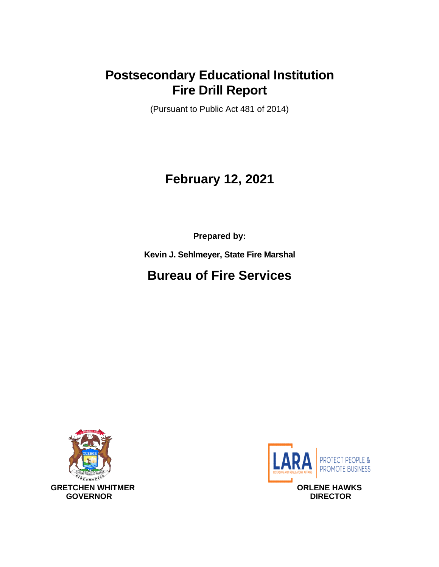## **Postsecondary Educational Institution Fire Drill Report**

(Pursuant to Public Act 481 of 2014)

# **February 12, 2021**

**Prepared by:**

**Kevin J. Sehlmeyer, State Fire Marshal**

# **Bureau of Fire Services**



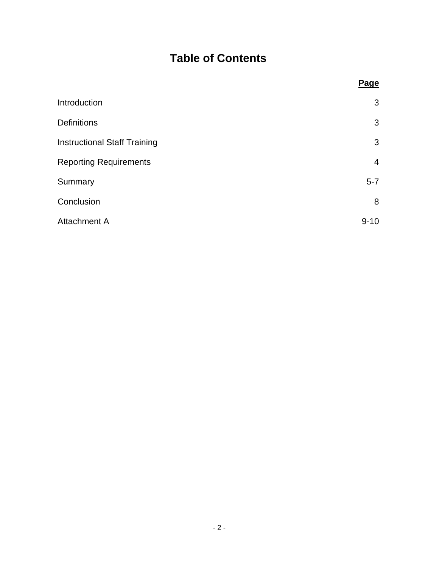## **Table of Contents**

<span id="page-1-0"></span>

|                                     | <b>Page</b>    |
|-------------------------------------|----------------|
| Introduction                        | 3              |
| <b>Definitions</b>                  | 3              |
| <b>Instructional Staff Training</b> | 3              |
| <b>Reporting Requirements</b>       | $\overline{4}$ |
| Summary                             | $5 - 7$        |
| Conclusion                          | 8              |
| <b>Attachment A</b>                 | $9 - 10$       |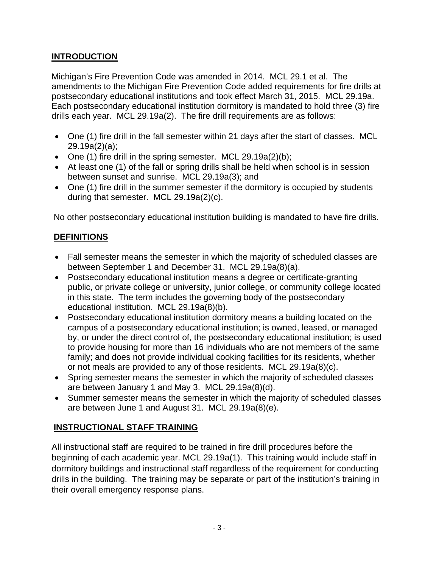## **INTRODUCTION**

Michigan's Fire Prevention Code was amended in 2014. MCL 29.1 et al. The amendments to the Michigan Fire Prevention Code added requirements for fire drills at postsecondary educational institutions and took effect March 31, 2015. MCL 29.19a. Each postsecondary educational institution dormitory is mandated to hold three (3) fire drills each year. MCL 29.19a(2). The fire drill requirements are as follows:

- One (1) fire drill in the fall semester within 21 days after the start of classes. MCL 29.19a(2)(a);
- One (1) fire drill in the spring semester. MCL  $29.19a(2)(b)$ ;
- At least one (1) of the fall or spring drills shall be held when school is in session between sunset and sunrise. MCL 29.19a(3); and
- One (1) fire drill in the summer semester if the dormitory is occupied by students during that semester. MCL 29.19a(2)(c).

No other postsecondary educational institution building is mandated to have fire drills.

## <span id="page-2-0"></span>**DEFINITIONS**

- Fall semester means the semester in which the majority of scheduled classes are between September 1 and December 31. MCL 29.19a(8)(a).
- Postsecondary educational institution means a degree or certificate-granting public, or private college or university, junior college, or community college located in this state. The term includes the governing body of the postsecondary educational institution. MCL 29.19a(8)(b).
- Postsecondary educational institution dormitory means a building located on the campus of a postsecondary educational institution; is owned, leased, or managed by, or under the direct control of, the postsecondary educational institution; is used to provide housing for more than 16 individuals who are not members of the same family; and does not provide individual cooking facilities for its residents, whether or not meals are provided to any of those residents. MCL 29.19a(8)(c).
- Spring semester means the semester in which the majority of scheduled classes are between January 1 and May 3. MCL 29.19a(8)(d).
- Summer semester means the semester in which the majority of scheduled classes are between June 1 and August 31. MCL 29.19a(8)(e).

## <span id="page-2-1"></span>**INSTRUCTIONAL STAFF TRAINING**

<span id="page-2-2"></span>All instructional staff are required to be trained in fire drill procedures before the beginning of each academic year. MCL 29.19a(1). This training would include staff in dormitory buildings and instructional staff regardless of the requirement for conducting drills in the building. The training may be separate or part of the institution's training in their overall emergency response plans.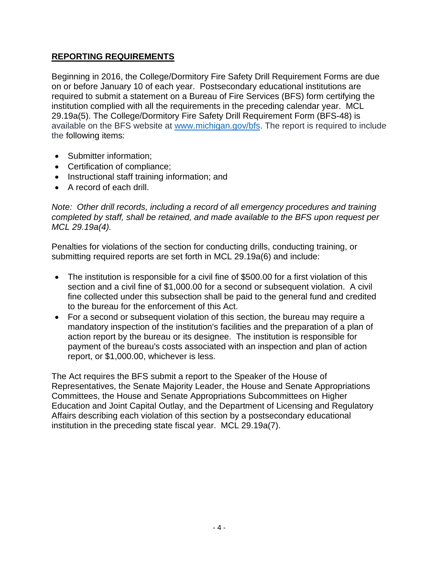#### **REPORTING REQUIREMENTS**

Beginning in 2016, the College/Dormitory Fire Safety Drill Requirement Forms are due on or before January 10 of each year. Postsecondary educational institutions are required to submit a statement on a Bureau of Fire Services (BFS) form certifying the institution complied with all the requirements in the preceding calendar year. MCL 29.19a(5). The College/Dormitory Fire Safety Drill Requirement Form (BFS-48) is available on the BFS website at [www.michigan.gov/bfs.](http://www.michigan.gov/bfs) The report is required to include the following items:

- Submitter information:
- Certification of compliance;
- Instructional staff training information; and
- A record of each drill.

*Note: Other drill records, including a record of all emergency procedures and training completed by staff, shall be retained, and made available to the BFS upon request per MCL 29.19a(4).* 

Penalties for violations of the section for conducting drills, conducting training, or submitting required reports are set forth in MCL 29.19a(6) and include:

- The institution is responsible for a civil fine of \$500.00 for a first violation of this section and a civil fine of \$1,000.00 for a second or subsequent violation. A civil fine collected under this subsection shall be paid to the general fund and credited to the bureau for the enforcement of this Act.
- For a second or subsequent violation of this section, the bureau may require a mandatory inspection of the institution's facilities and the preparation of a plan of action report by the bureau or its designee. The institution is responsible for payment of the bureau's costs associated with an inspection and plan of action report, or \$1,000.00, whichever is less.

<span id="page-3-0"></span>The Act requires the BFS submit a report to the Speaker of the House of Representatives, the Senate Majority Leader, the House and Senate Appropriations Committees, the House and Senate Appropriations Subcommittees on Higher Education and Joint Capital Outlay, and the Department of Licensing and Regulatory Affairs describing each violation of this section by a postsecondary educational institution in the preceding state fiscal year. MCL 29.19a(7).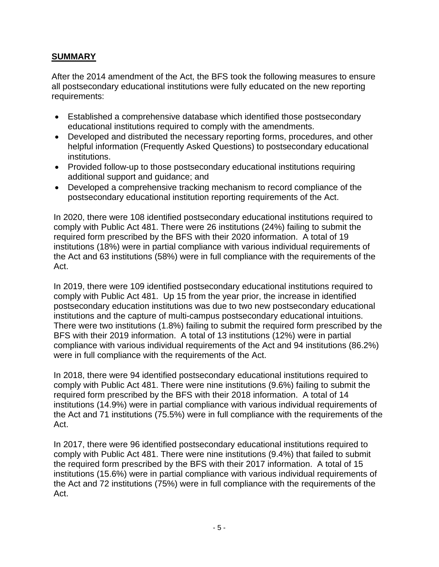#### **SUMMARY**

After the 2014 amendment of the Act, the BFS took the following measures to ensure all postsecondary educational institutions were fully educated on the new reporting requirements:

- Established a comprehensive database which identified those postsecondary educational institutions required to comply with the amendments.
- Developed and distributed the necessary reporting forms, procedures, and other helpful information (Frequently Asked Questions) to postsecondary educational institutions.
- Provided follow-up to those postsecondary educational institutions requiring additional support and guidance; and
- Developed a comprehensive tracking mechanism to record compliance of the postsecondary educational institution reporting requirements of the Act.

In 2020, there were 108 identified postsecondary educational institutions required to comply with Public Act 481. There were 26 institutions (24%) failing to submit the required form prescribed by the BFS with their 2020 information. A total of 19 institutions (18%) were in partial compliance with various individual requirements of the Act and 63 institutions (58%) were in full compliance with the requirements of the Act.

In 2019, there were 109 identified postsecondary educational institutions required to comply with Public Act 481. Up 15 from the year prior, the increase in identified postsecondary education institutions was due to two new postsecondary educational institutions and the capture of multi-campus postsecondary educational intuitions. There were two institutions (1.8%) failing to submit the required form prescribed by the BFS with their 2019 information. A total of 13 institutions (12%) were in partial compliance with various individual requirements of the Act and 94 institutions (86.2%) were in full compliance with the requirements of the Act.

In 2018, there were 94 identified postsecondary educational institutions required to comply with Public Act 481. There were nine institutions (9.6%) failing to submit the required form prescribed by the BFS with their 2018 information. A total of 14 institutions (14.9%) were in partial compliance with various individual requirements of the Act and 71 institutions (75.5%) were in full compliance with the requirements of the Act.

In 2017, there were 96 identified postsecondary educational institutions required to comply with Public Act 481. There were nine institutions (9.4%) that failed to submit the required form prescribed by the BFS with their 2017 information. A total of 15 institutions (15.6%) were in partial compliance with various individual requirements of the Act and 72 institutions (75%) were in full compliance with the requirements of the Act.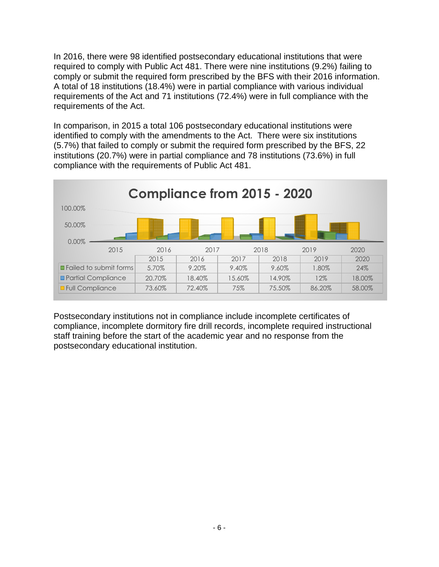In 2016, there were 98 identified postsecondary educational institutions that were required to comply with Public Act 481. There were nine institutions (9.2%) failing to comply or submit the required form prescribed by the BFS with their 2016 information. A total of 18 institutions (18.4%) were in partial compliance with various individual requirements of the Act and 71 institutions (72.4%) were in full compliance with the requirements of the Act.

In comparison, in 2015 a total 106 postsecondary educational institutions were identified to comply with the amendments to the Act. There were six institutions (5.7%) that failed to comply or submit the required form prescribed by the BFS, 22 institutions (20.7%) were in partial compliance and 78 institutions (73.6%) in full compliance with the requirements of Public Act 481.



Postsecondary institutions not in compliance include incomplete certificates of compliance, incomplete dormitory fire drill records, incomplete required instructional staff training before the start of the academic year and no response from the postsecondary educational institution.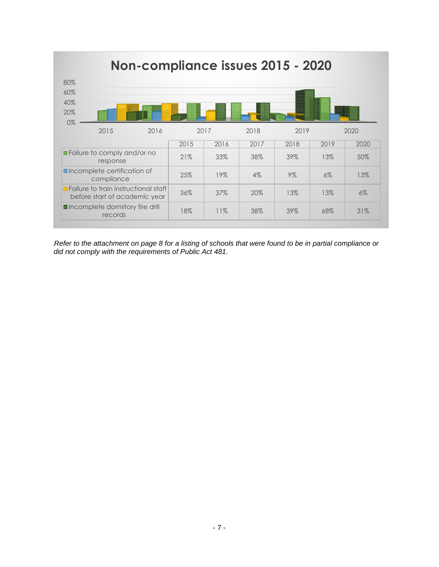

*Refer to the attachment on page 8 for a listing of schools that were found to be in partial compliance or did not comply with the requirements of Public Act 481.*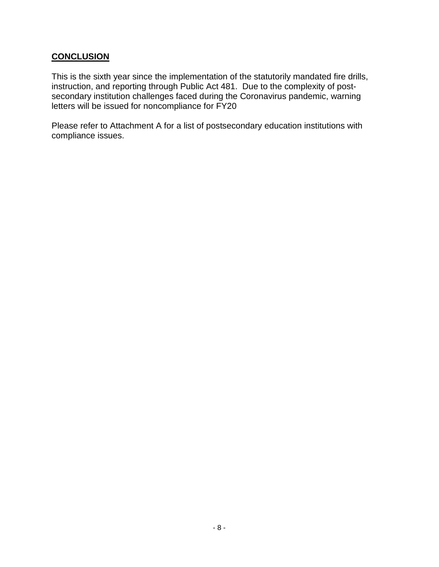#### **CONCLUSION**

This is the sixth year since the implementation of the statutorily mandated fire drills, instruction, and reporting through Public Act 481. Due to the complexity of postsecondary institution challenges faced during the Coronavirus pandemic, warning letters will be issued for noncompliance for FY20

Please refer to Attachment A for a list of postsecondary education institutions with compliance issues.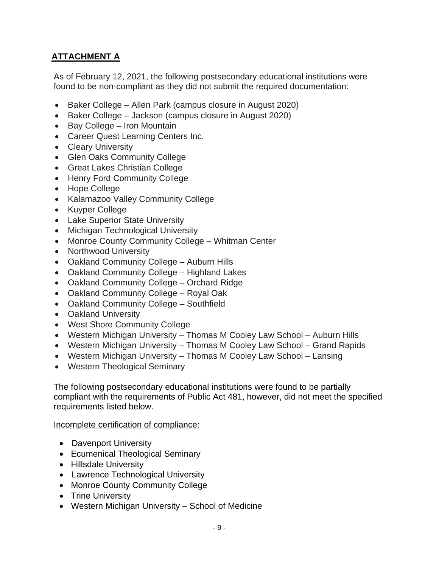## <span id="page-8-0"></span>**ATTACHMENT A**

As of February 12, 2021, the following postsecondary educational institutions were found to be non-compliant as they did not submit the required documentation:

- Baker College Allen Park (campus closure in August 2020)
- Baker College Jackson (campus closure in August 2020)
- Bay College Iron Mountain
- Career Quest Learning Centers Inc.
- Cleary University
- Glen Oaks Community College
- Great Lakes Christian College
- Henry Ford Community College
- Hope College
- Kalamazoo Valley Community College
- Kuyper College
- Lake Superior State University
- Michigan Technological University
- Monroe County Community College Whitman Center
- Northwood University
- Oakland Community College Auburn Hills
- Oakland Community College Highland Lakes
- Oakland Community College Orchard Ridge
- Oakland Community College Royal Oak
- Oakland Community College Southfield
- Oakland University
- West Shore Community College
- Western Michigan University Thomas M Cooley Law School Auburn Hills
- Western Michigan University Thomas M Cooley Law School Grand Rapids
- Western Michigan University Thomas M Cooley Law School Lansing
- Western Theological Seminary

The following postsecondary educational institutions were found to be partially compliant with the requirements of Public Act 481, however, did not meet the specified requirements listed below.

#### Incomplete certification of compliance:

- Davenport University
- Ecumenical Theological Seminary
- Hillsdale University
- Lawrence Technological University
- Monroe County Community College
- Trine University
- Western Michigan University School of Medicine